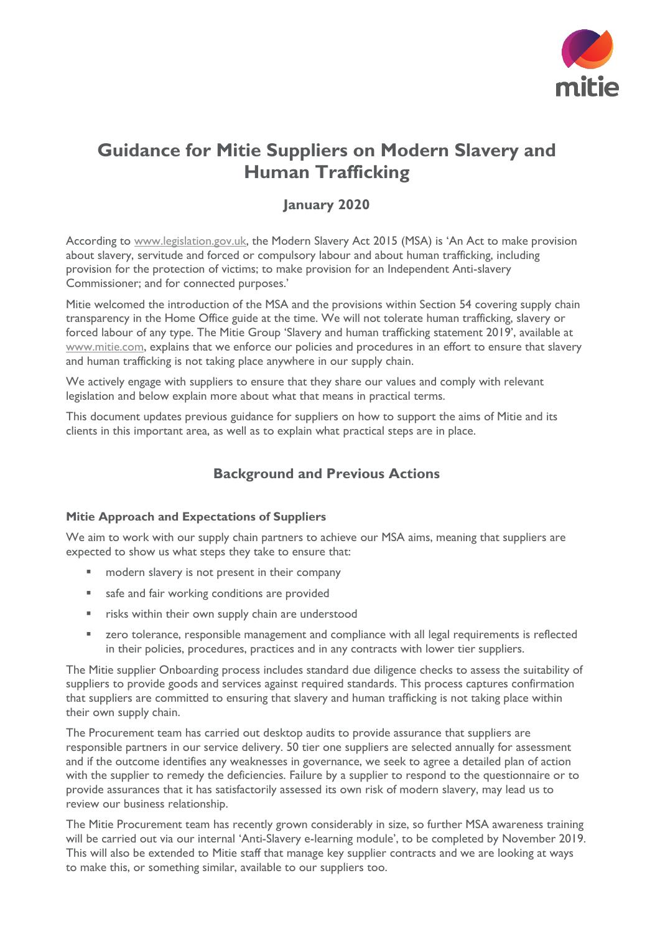

# **Guidance for Mitie Suppliers on Modern Slavery and Human Trafficking**

# **January 2020**

According to [www.legislation.gov.uk,](http://www.legislation.gov.uk/) the Modern Slavery Act 2015 (MSA) is 'An Act to make provision about slavery, servitude and forced or compulsory labour and about human trafficking, including provision for the protection of victims; to make provision for an Independent Anti-slavery Commissioner; and for connected purposes.'

Mitie welcomed the introduction of the MSA and the provisions within Section 54 covering supply chain transparency in the Home Office guide at the time. We will not tolerate human trafficking, slavery or forced labour of any type. The Mitie Group 'Slavery and human trafficking statement 2019', available at [www.mitie.com,](http://www.mitie.com/) explains that we enforce our policies and procedures in an effort to ensure that slavery and human trafficking is not taking place anywhere in our supply chain.

We actively engage with suppliers to ensure that they share our values and comply with relevant legislation and below explain more about what that means in practical terms.

This document updates previous guidance for suppliers on how to support the aims of Mitie and its clients in this important area, as well as to explain what practical steps are in place.

# **Background and Previous Actions**

## **Mitie Approach and Expectations of Suppliers**

We aim to work with our supply chain partners to achieve our MSA aims, meaning that suppliers are expected to show us what steps they take to ensure that:

- modern slavery is not present in their company
- safe and fair working conditions are provided
- risks within their own supply chain are understood
- zero tolerance, responsible management and compliance with all legal requirements is reflected in their policies, procedures, practices and in any contracts with lower tier suppliers.

The Mitie supplier Onboarding process includes standard due diligence checks to assess the suitability of suppliers to provide goods and services against required standards. This process captures confirmation that suppliers are committed to ensuring that slavery and human trafficking is not taking place within their own supply chain.

The Procurement team has carried out desktop audits to provide assurance that suppliers are responsible partners in our service delivery. 50 tier one suppliers are selected annually for assessment and if the outcome identifies any weaknesses in governance, we seek to agree a detailed plan of action with the supplier to remedy the deficiencies. Failure by a supplier to respond to the questionnaire or to provide assurances that it has satisfactorily assessed its own risk of modern slavery, may lead us to review our business relationship.

The Mitie Procurement team has recently grown considerably in size, so further MSA awareness training will be carried out via our internal 'Anti-Slavery e-learning module', to be completed by November 2019. This will also be extended to Mitie staff that manage key supplier contracts and we are looking at ways to make this, or something similar, available to our suppliers too.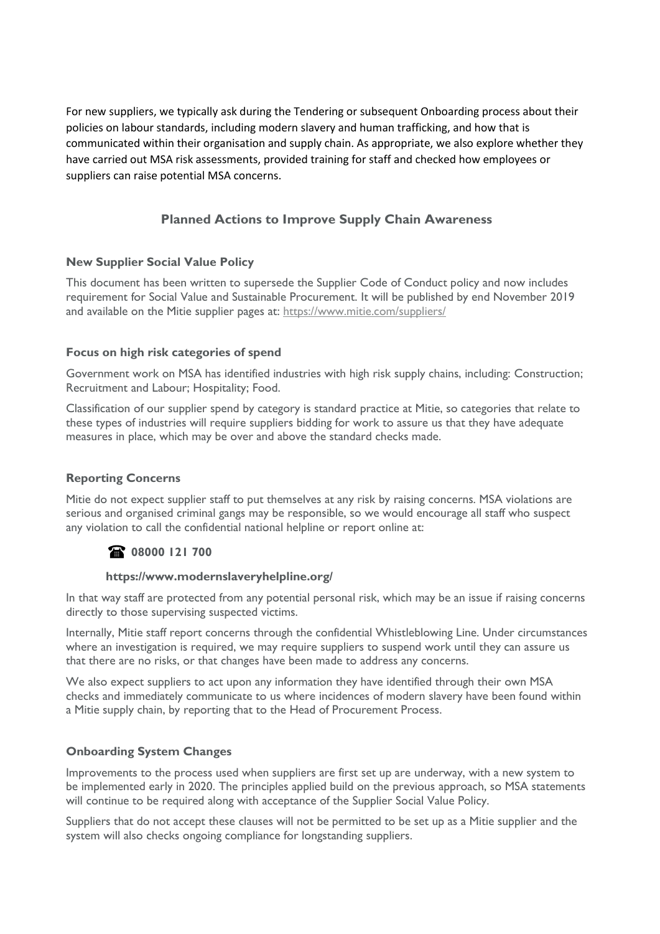For new suppliers, we typically ask during the Tendering or subsequent Onboarding process about their policies on labour standards, including modern slavery and human trafficking, and how that is communicated within their organisation and supply chain. As appropriate, we also explore whether they have carried out MSA risk assessments, provided training for staff and checked how employees or suppliers can raise potential MSA concerns.

# **Planned Actions to Improve Supply Chain Awareness**

## **New Supplier Social Value Policy**

This document has been written to supersede the Supplier Code of Conduct policy and now includes requirement for Social Value and Sustainable Procurement. It will be published by end November 2019 and available on the Mitie supplier pages at:<https://www.mitie.com/suppliers/>

#### **Focus on high risk categories of spend**

Government work on MSA has identified industries with high risk supply chains, including: Construction; Recruitment and Labour; Hospitality; Food.

Classification of our supplier spend by category is standard practice at Mitie, so categories that relate to these types of industries will require suppliers bidding for work to assure us that they have adequate measures in place, which may be over and above the standard checks made.

## **Reporting Concerns**

Mitie do not expect supplier staff to put themselves at any risk by raising concerns. MSA violations are serious and organised criminal gangs may be responsible, so we would encourage all staff who suspect any violation to call the confidential national helpline or report online at:

## **08000 121 700**

#### **https://www.modernslaveryhelpline.org/**

In that way staff are protected from any potential personal risk, which may be an issue if raising concerns directly to those supervising suspected victims.

Internally, Mitie staff report concerns through the confidential Whistleblowing Line. Under circumstances where an investigation is required, we may require suppliers to suspend work until they can assure us that there are no risks, or that changes have been made to address any concerns.

We also expect suppliers to act upon any information they have identified through their own MSA checks and immediately communicate to us where incidences of modern slavery have been found within a Mitie supply chain, by reporting that to the Head of Procurement Process.

## **Onboarding System Changes**

Improvements to the process used when suppliers are first set up are underway, with a new system to be implemented early in 2020. The principles applied build on the previous approach, so MSA statements will continue to be required along with acceptance of the Supplier Social Value Policy.

Suppliers that do not accept these clauses will not be permitted to be set up as a Mitie supplier and the system will also checks ongoing compliance for longstanding suppliers.